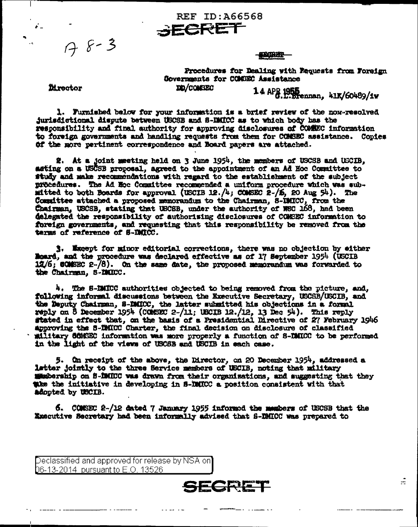$78 - 3$ 

**SECHER** 

Procedures for Dealing with Requests from Foreign Governments for COMSEC Assistance **IED/COMSEC** 

**Mrector** 

14 APR 1955<br>G.L.Brennan, 41K/60489/1w

÷

1. Furnished below for your information is a brief review of the now-resolved jurisdictional dispute between USCSB and S-IMICC as to which body has the responsibility and final authority for approving disclosures of COMMEC information to foreign governments and handling requests from them for COMSEC assistance. Copies Of the more pertinent correspondence and Board papers are attached.

**REF ID: A66568** 

**SECRET** 

2. At a joint meeting held on 3 June 1954, the members of USCSB and USCIB, asting on a USCSB proposal, agreed to the appointment of an Ad Hoc Committee to study and make recommendations with regard to the establishment of the subject procedures. The Ad Hoc Committee recommended a uniform procedure which was submitted to both Boards for approval (USCIB 12./4; COMSEC 2-/6, 20 Aug 54). The Committee attached a proposed memorandum to the Chairman, S-IMICC, from the Chairman, USCSB, stating that USCSB, under the authority of WSC 168, had been delegated the responsibility of authorising disclosures of COMEEC information to foreign governments, and requesting that this responsibility be removed from the terms of reference of S-IMICC.

3. Except for minor editorial corrections, there was no objection by either Moard, and the procedure was declared effective as of 17 September 1954 (USCIB  $12/6$ ; COMSEC 2- $/8$ ). On the same date, the proposed memorandum was forwarded to the Chairman, S-DMICC.

4. The S-DMICC authorities objected to being removed from the picture, and, following informal discussions between the Executive Secretary, USCSB/USCIB, and the Deputy Chairman, S-DMICC, the latter submitted his objections in a formal reply on 8 December 1954 (COMSEC 2-/11; USCIB 12./12, 13 Dec 54). This reply stated in effect that, on the basis of a Presidential Directive of 27 February 1946 approving the S-DMICC Charter, the final decision on disclosure of classified military COMSEC information was more properly a function of S-DMICC to be performed in the light of the views of USCSB and USCIB in each case.

5. On receipt of the above, the Director, on 20 December 1954, addressed a latter jointly to the three Service members of USCIB, noting that military supporting on S-IMICC was drawn from their organizations, and suggesting that they the the initiative in developing in 8-DMICC a position consistent with that adopted by USCIB.

6. COMSEC 2-/12 dated 7 January 1955 informed the members of USCSB that the Executive Secretary had been informally advised that S-DMICC was prepared to

SECRET

Declassified and approved for release by NSA on] **D**6-13-2014 pursuant to E.O. 13526 .